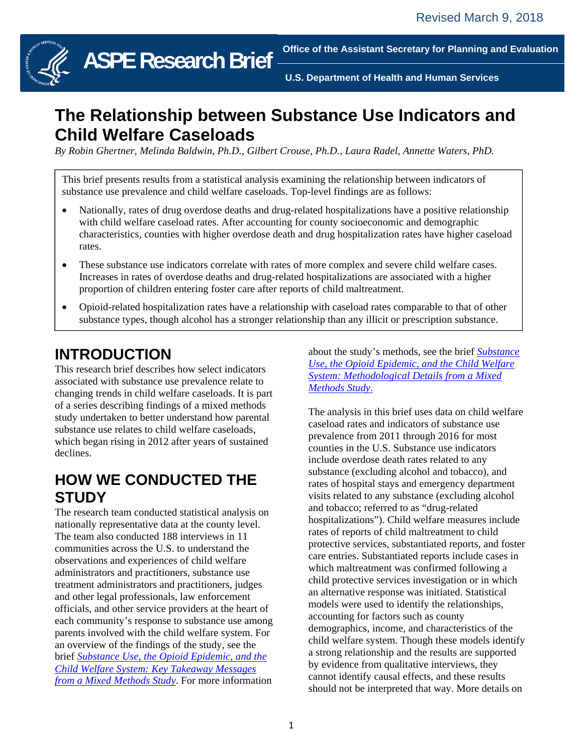

**ASPE Research Brief**

**Office of the Assistant Secretary for Planning and Evaluation** 

**U.S. Department of Health and Human Services** 

# **The Relationship between Substance Use Indicators and Child Welfare Caseloads**

ł

ł

*By Robin Ghertner, Melinda Baldwin, Ph.D., Gilbert Crouse, Ph.D., Laura Radel, Annette Waters, PhD.* 

This brief presents results from a statistical analysis examining the relationship between indicators of substance use prevalence and child welfare caseloads. Top-level findings are as follows:

- Nationally, rates of drug overdose deaths and drug-related hospitalizations have a positive relationship with child welfare caseload rates. After accounting for county socioeconomic and demographic characteristics, counties with higher overdose death and drug hospitalization rates have higher caseload rates.
- These substance use indicators correlate with rates of more complex and severe child welfare cases. Increases in rates of overdose deaths and drug-related hospitalizations are associated with a higher proportion of children entering foster care after reports of child maltreatment.
- Opioid-related hospitalization rates have a relationship with caseload rates comparable to that of other substance types, though alcohol has a stronger relationship than any illicit or prescription substance.

## **INTRODUCTION**

This research brief describes how select indicators associated with substance use prevalence relate to changing trends in child welfare caseloads. It is part of a series describing findings of a mixed methods study undertaken to better understand how parental substance use relates to child welfare caseloads, which began rising in 2012 after years of sustained declines.

#### **HOW WE CONDUCTED THE STUDY**

The research team conducted statistical analysis on nationally representative data at the county level. The team also conducted 188 interviews in 11 communities across the U.S. to understand the observations and experiences of child welfare administrators and practitioners, substance use treatment administrators and practitioners, judges and other legal professionals, law enforcement officials, and other service providers at the heart of each community's response to substance use among parents involved with the child welfare system. For an overview of the findings of the study, see the brief *Substance Use, the Opioid Epidemic, and the Child Welfare System: Key Takeaway Messages from a Mixed Methods Study*. For more information

about the study's methods, see the brief *Substance Use, the Opioid Epidemic, and the Child Welfare System: Methodological Details from a Mixed Methods Study*.

The analysis in this brief uses data on child welfare caseload rates and indicators of substance use prevalence from 2011 through 2016 for most counties in the U.S. Substance use indicators include overdose death rates related to any substance (excluding alcohol and tobacco), and rates of hospital stays and emergency department visits related to any substance (excluding alcohol and tobacco; referred to as "drug-related hospitalizations"). Child welfare measures include rates of reports of child maltreatment to child protective services, substantiated reports, and foster care entries. Substantiated reports include cases in which maltreatment was confirmed following a child protective services investigation or in which an alternative response was initiated. Statistical models were used to identify the relationships, accounting for factors such as county demographics, income, and characteristics of the child welfare system. Though these models identify a strong relationship and the results are supported by evidence from qualitative interviews, they cannot identify causal effects, and these results should not be interpreted that way. More details on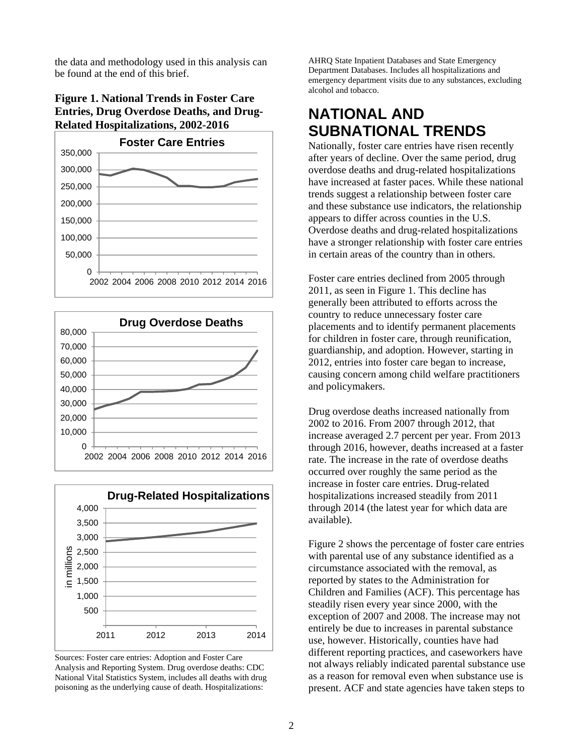the data and methodology used in this analysis can be found at the end of this brief.

#### **Figure 1. National Trends in Foster Care Entries, Drug Overdose Deaths, and Drug-Related Hospitalizations, 2002-2016**







Sources: Foster care entries: Adoption and Foster Care Analysis and Reporting System. Drug overdose deaths: CDC National Vital Statistics System, includes all deaths with drug poisoning as the underlying cause of death. Hospitalizations:

AHRQ State Inpatient Databases and State Emergency Department Databases. Includes all hospitalizations and emergency department visits due to any substances, excluding alcohol and tobacco.

### **NATIONAL AND SUBNATIONAL TRENDS**

Nationally, foster care entries have risen recently after years of decline. Over the same period, drug overdose deaths and drug-related hospitalizations have increased at faster paces. While these national trends suggest a relationship between foster care and these substance use indicators, the relationship appears to differ across counties in the U.S. Overdose deaths and drug-related hospitalizations have a stronger relationship with foster care entries in certain areas of the country than in others.

Foster care entries declined from 2005 through 2011, as seen in Figure 1. This decline has generally been attributed to efforts across the country to reduce unnecessary foster care placements and to identify permanent placements for children in foster care, through reunification, guardianship, and adoption. However, starting in 2012, entries into foster care began to increase, causing concern among child welfare practitioners and policymakers.

Drug overdose deaths increased nationally from 2002 to 2016. From 2007 through 2012, that increase averaged 2.7 percent per year. From 2013 through 2016, however, deaths increased at a faster rate. The increase in the rate of overdose deaths occurred over roughly the same period as the increase in foster care entries. Drug-related hospitalizations increased steadily from 2011 through 2014 (the latest year for which data are available).

Figure 2 shows the percentage of foster care entries with parental use of any substance identified as a circumstance associated with the removal, as reported by states to the Administration for Children and Families (ACF). This percentage has steadily risen every year since 2000, with the exception of 2007 and 2008. The increase may not entirely be due to increases in parental substance use, however. Historically, counties have had different reporting practices, and caseworkers have not always reliably indicated parental substance use as a reason for removal even when substance use is present. ACF and state agencies have taken steps to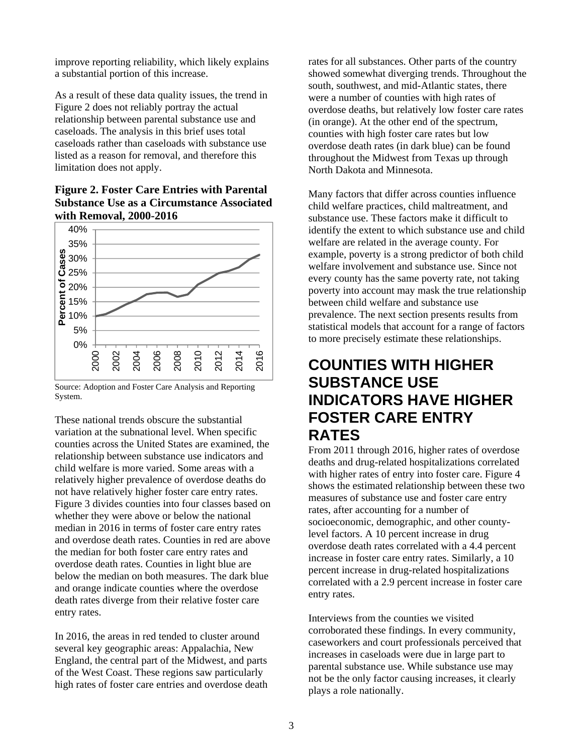improve reporting reliability, which likely explains a substantial portion of this increase.

As a result of these data quality issues, the trend in Figure 2 does not reliably portray the actual relationship between parental substance use and caseloads. The analysis in this brief uses total caseloads rather than caseloads with substance use listed as a reason for removal, and therefore this limitation does not apply.





Source: Adoption and Foster Care Analysis and Reporting System.

These national trends obscure the substantial variation at the subnational level. When specific counties across the United States are examined, the relationship between substance use indicators and child welfare is more varied. Some areas with a relatively higher prevalence of overdose deaths do not have relatively higher foster care entry rates. Figure 3 divides counties into four classes based on whether they were above or below the national median in 2016 in terms of foster care entry rates and overdose death rates. Counties in red are above the median for both foster care entry rates and overdose death rates. Counties in light blue are below the median on both measures. The dark blue and orange indicate counties where the overdose death rates diverge from their relative foster care entry rates.

In 2016, the areas in red tended to cluster around several key geographic areas: Appalachia, New England, the central part of the Midwest, and parts of the West Coast. These regions saw particularly high rates of foster care entries and overdose death

rates for all substances. Other parts of the country showed somewhat diverging trends. Throughout the south, southwest, and mid-Atlantic states, there were a number of counties with high rates of overdose deaths, but relatively low foster care rates (in orange). At the other end of the spectrum, counties with high foster care rates but low overdose death rates (in dark blue) can be found throughout the Midwest from Texas up through North Dakota and Minnesota.

Many factors that differ across counties influence child welfare practices, child maltreatment, and substance use. These factors make it difficult to identify the extent to which substance use and child welfare are related in the average county. For example, poverty is a strong predictor of both child welfare involvement and substance use. Since not every county has the same poverty rate, not taking poverty into account may mask the true relationship between child welfare and substance use prevalence. The next section presents results from statistical models that account for a range of factors to more precisely estimate these relationships.

#### **COUNTIES WITH HIGHER SUBSTANCE USE INDICATORS HAVE HIGHER FOSTER CARE ENTRY RATES**

From 2011 through 2016, higher rates of overdose deaths and drug-related hospitalizations correlated with higher rates of entry into foster care. Figure 4 shows the estimated relationship between these two measures of substance use and foster care entry rates, after accounting for a number of socioeconomic, demographic, and other countylevel factors. A 10 percent increase in drug overdose death rates correlated with a 4.4 percent increase in foster care entry rates. Similarly, a 10 percent increase in drug-related hospitalizations correlated with a 2.9 percent increase in foster care entry rates.

Interviews from the counties we visited corroborated these findings. In every community, caseworkers and court professionals perceived that increases in caseloads were due in large part to parental substance use. While substance use may not be the only factor causing increases, it clearly plays a role nationally.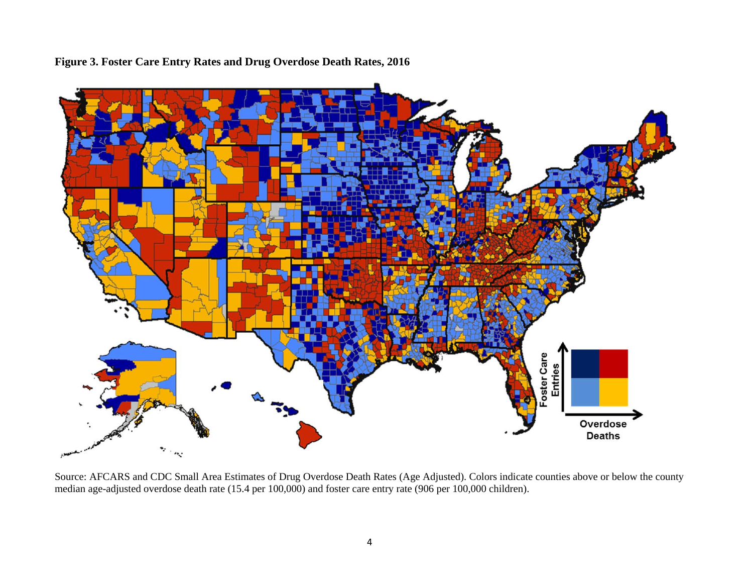

**Figure 3. Foster Care Entry Rates and Drug Overdose Death Rates, 2016**

Source: AFCARS and CDC Small Area Estimates of Drug Overdose Death Rates (Age Adjusted). Colors indicate counties above or below the county median age-adjusted overdose death rate (15.4 per 100,000) and foster care entry rate (906 per 100,000 children).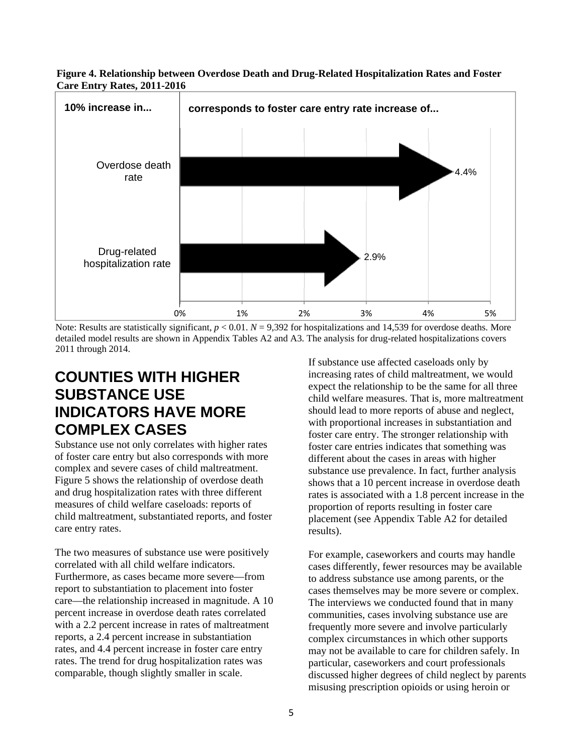



Note: Results are statistically significant,  $p < 0.01$ .  $N = 9,392$  for hospitalizations and 14,539 for overdose deaths. More detailed model results are shown in Appendix Tables A2 and A3. The analysis for drug-related hospitalizations covers 2011 through 2014.

## **COUNTIES WITH HIGHER SUBSTANCE USE INDICATORS HAVE MORE COMPLEX CASES**

Substance use not only correlates with higher rates of foster care entry but also corresponds with more complex and severe cases of child maltreatment. Figure 5 shows the relationship of overdose death and drug hospitalization rates with three different measures of child welfare caseloads: reports of child maltreatment, substantiated reports, and foster care entry rates.

The two measures of substance use were positively correlated with all child welfare indicators. Furthermore, as cases became more severe—from report to substantiation to placement into foster care—the relationship increased in magnitude. A 10 percent increase in overdose death rates correlated with a 2.2 percent increase in rates of maltreatment reports, a 2.4 percent increase in substantiation rates, and 4.4 percent increase in foster care entry rates. The trend for drug hospitalization rates was comparable, though slightly smaller in scale.

If substance use affected caseloads only by increasing rates of child maltreatment, we would expect the relationship to be the same for all three child welfare measures. That is, more maltreatment should lead to more reports of abuse and neglect, with proportional increases in substantiation and foster care entry. The stronger relationship with foster care entries indicates that something was different about the cases in areas with higher substance use prevalence. In fact, further analysis shows that a 10 percent increase in overdose death rates is associated with a 1.8 percent increase in the proportion of reports resulting in foster care placement (see Appendix Table A2 for detailed results).

For example, caseworkers and courts may handle cases differently, fewer resources may be available to address substance use among parents, or the cases themselves may be more severe or complex. The interviews we conducted found that in many communities, cases involving substance use are frequently more severe and involve particularly complex circumstances in which other supports may not be available to care for children safely. In particular, caseworkers and court professionals discussed higher degrees of child neglect by parents misusing prescription opioids or using heroin or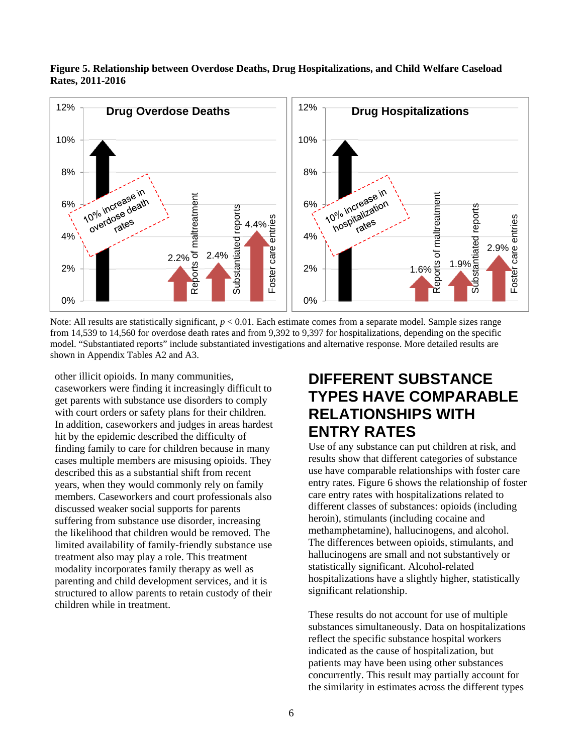

**Figure 5. Relationship between Overdose Deaths, Drug Hospitalizations, and Child Welfare Caseload Rates, 2011-2016** 

Note: All results are statistically significant, *p* < 0.01. Each estimate comes from a separate model. Sample sizes range from 14,539 to 14,560 for overdose death rates and from 9,392 to 9,397 for hospitalizations, depending on the specific model. "Substantiated reports" include substantiated investigations and alternative response. More detailed results are shown in Appendix Tables A2 and A3.

other illicit opioids. In many communities, caseworkers were finding it increasingly difficult to get parents with substance use disorders to comply with court orders or safety plans for their children. In addition, caseworkers and judges in areas hardest hit by the epidemic described the difficulty of finding family to care for children because in many cases multiple members are misusing opioids. They described this as a substantial shift from recent years, when they would commonly rely on family members. Caseworkers and court professionals also discussed weaker social supports for parents suffering from substance use disorder, increasing the likelihood that children would be removed. The limited availability of family-friendly substance use treatment also may play a role. This treatment modality incorporates family therapy as well as parenting and child development services, and it is structured to allow parents to retain custody of their children while in treatment.

## **DIFFERENT SUBSTANCE TYPES HAVE COMPARABLE RELATIONSHIPS WITH ENTRY RATES**

Use of any substance can put children at risk, and results show that different categories of substance use have comparable relationships with foster care entry rates. Figure 6 shows the relationship of foster care entry rates with hospitalizations related to different classes of substances: opioids (including heroin), stimulants (including cocaine and methamphetamine), hallucinogens, and alcohol. The differences between opioids, stimulants, and hallucinogens are small and not substantively or statistically significant. Alcohol-related hospitalizations have a slightly higher, statistically significant relationship.

These results do not account for use of multiple substances simultaneously. Data on hospitalizations reflect the specific substance hospital workers indicated as the cause of hospitalization, but patients may have been using other substances concurrently. This result may partially account for the similarity in estimates across the different types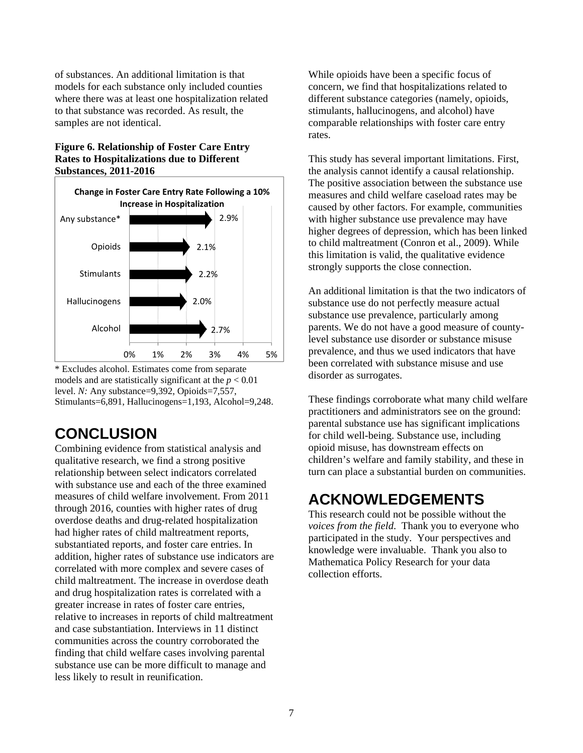of substances. An additional limitation is that models for each substance only included counties where there was at least one hospitalization related to that substance was recorded. As result, the samples are not identical.

#### **Figure 6. Relationship of Foster Care Entry Rates to Hospitalizations due to Different Substances, 2011-2016**



\* Excludes alcohol. Estimates come from separate models and are statistically significant at the  $p < 0.01$ level. *N:* Any substance=9,392, Opioids=7,557, Stimulants=6,891, Hallucinogens=1,193, Alcohol=9,248.

# **CONCLUSION**

Combining evidence from statistical analysis and qualitative research, we find a strong positive relationship between select indicators correlated with substance use and each of the three examined measures of child welfare involvement. From 2011 through 2016, counties with higher rates of drug overdose deaths and drug-related hospitalization had higher rates of child maltreatment reports, substantiated reports, and foster care entries. In addition, higher rates of substance use indicators are correlated with more complex and severe cases of child maltreatment. The increase in overdose death and drug hospitalization rates is correlated with a greater increase in rates of foster care entries, relative to increases in reports of child maltreatment and case substantiation. Interviews in 11 distinct communities across the country corroborated the finding that child welfare cases involving parental substance use can be more difficult to manage and less likely to result in reunification.

While opioids have been a specific focus of concern, we find that hospitalizations related to different substance categories (namely, opioids, stimulants, hallucinogens, and alcohol) have comparable relationships with foster care entry rates.

This study has several important limitations. First, the analysis cannot identify a causal relationship. The positive association between the substance use measures and child welfare caseload rates may be caused by other factors. For example, communities with higher substance use prevalence may have higher degrees of depression, which has been linked to child maltreatment (Conron et al., 2009). While this limitation is valid, the qualitative evidence strongly supports the close connection.

An additional limitation is that the two indicators of substance use do not perfectly measure actual substance use prevalence, particularly among parents. We do not have a good measure of countylevel substance use disorder or substance misuse prevalence, and thus we used indicators that have been correlated with substance misuse and use disorder as surrogates.

These findings corroborate what many child welfare practitioners and administrators see on the ground: parental substance use has significant implications for child well-being. Substance use, including opioid misuse, has downstream effects on children's welfare and family stability, and these in turn can place a substantial burden on communities.

# **ACKNOWLEDGEMENTS**

This research could not be possible without the *voices from the field*. Thank you to everyone who participated in the study. Your perspectives and knowledge were invaluable. Thank you also to Mathematica Policy Research for your data collection efforts.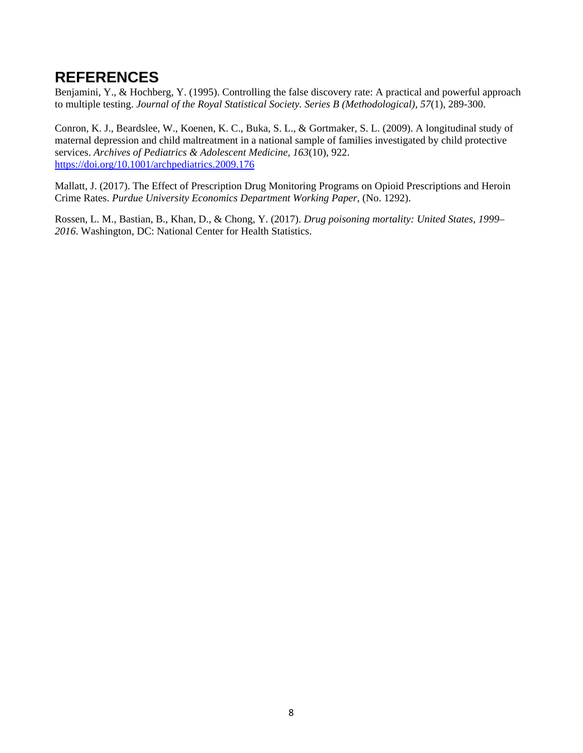#### **REFERENCES**

Benjamini, Y., & Hochberg, Y. (1995). Controlling the false discovery rate: A practical and powerful approach to multiple testing. *Journal of the Royal Statistical Society. Series B (Methodological), 57*(1), 289-300.

Conron, K. J., Beardslee, W., Koenen, K. C., Buka, S. L., & Gortmaker, S. L. (2009). A longitudinal study of maternal depression and child maltreatment in a national sample of families investigated by child protective services. *Archives of Pediatrics & Adolescent Medicine, 163*(10), 922. https://doi.org/10.1001/archpediatrics.2009.176

Mallatt, J. (2017). The Effect of Prescription Drug Monitoring Programs on Opioid Prescriptions and Heroin Crime Rates. *Purdue University Economics Department Working Paper*, (No. 1292).

Rossen, L. M., Bastian, B., Khan, D., & Chong, Y. (2017). *Drug poisoning mortality: United States, 1999– 2016*. Washington, DC: National Center for Health Statistics.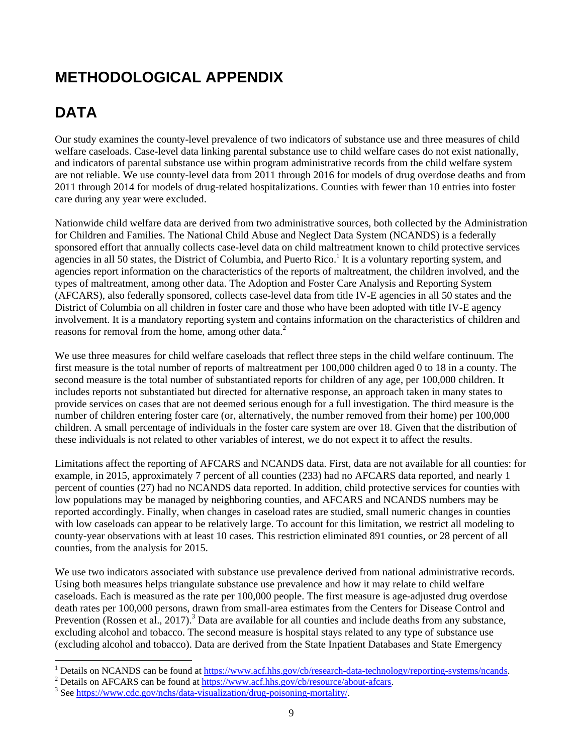# **METHODOLOGICAL APPENDIX**

# **DATA**

Our study examines the county-level prevalence of two indicators of substance use and three measures of child welfare caseloads. Case-level data linking parental substance use to child welfare cases do not exist nationally, and indicators of parental substance use within program administrative records from the child welfare system are not reliable. We use county-level data from 2011 through 2016 for models of drug overdose deaths and from 2011 through 2014 for models of drug-related hospitalizations. Counties with fewer than 10 entries into foster care during any year were excluded.

Nationwide child welfare data are derived from two administrative sources, both collected by the Administration for Children and Families. The National Child Abuse and Neglect Data System (NCANDS) is a federally sponsored effort that annually collects case-level data on child maltreatment known to child protective services agencies in all 50 states, the District of Columbia, and Puerto Rico.<sup>1</sup> It is a voluntary reporting system, and agencies report information on the characteristics of the reports of maltreatment, the children involved, and the types of maltreatment, among other data. The Adoption and Foster Care Analysis and Reporting System (AFCARS), also federally sponsored, collects case-level data from title IV-E agencies in all 50 states and the District of Columbia on all children in foster care and those who have been adopted with title IV-E agency involvement. It is a mandatory reporting system and contains information on the characteristics of children and reasons for removal from the home, among other data.<sup>2</sup>

We use three measures for child welfare caseloads that reflect three steps in the child welfare continuum. The first measure is the total number of reports of maltreatment per 100,000 children aged 0 to 18 in a county. The second measure is the total number of substantiated reports for children of any age, per 100,000 children. It includes reports not substantiated but directed for alternative response, an approach taken in many states to provide services on cases that are not deemed serious enough for a full investigation. The third measure is the number of children entering foster care (or, alternatively, the number removed from their home) per 100,000 children. A small percentage of individuals in the foster care system are over 18. Given that the distribution of these individuals is not related to other variables of interest, we do not expect it to affect the results.

Limitations affect the reporting of AFCARS and NCANDS data. First, data are not available for all counties: for example, in 2015, approximately 7 percent of all counties (233) had no AFCARS data reported, and nearly 1 percent of counties (27) had no NCANDS data reported. In addition, child protective services for counties with low populations may be managed by neighboring counties, and AFCARS and NCANDS numbers may be reported accordingly. Finally, when changes in caseload rates are studied, small numeric changes in counties with low caseloads can appear to be relatively large. To account for this limitation, we restrict all modeling to county-year observations with at least 10 cases. This restriction eliminated 891 counties, or 28 percent of all counties, from the analysis for 2015.

We use two indicators associated with substance use prevalence derived from national administrative records. Using both measures helps triangulate substance use prevalence and how it may relate to child welfare caseloads. Each is measured as the rate per 100,000 people. The first measure is age-adjusted drug overdose death rates per 100,000 persons, drawn from small-area estimates from the Centers for Disease Control and Prevention (Rossen et al., 2017).<sup>3</sup> Data are available for all counties and include deaths from any substance, excluding alcohol and tobacco. The second measure is hospital stays related to any type of substance use (excluding alcohol and tobacco). Data are derived from the State Inpatient Databases and State Emergency

<sup>&</sup>lt;sup>1</sup> Details on NCANDS can be found at  $\frac{https://www.acf.hhs.gov/cb/research-data-technology/reporting-systems/ncands.$ <sup>2</sup> Details on AECABS can be found at https://www.acf.hhs.gov/cb/research-data-technology/reporting-systems/ncands.

 $\frac{1}{2}$  Details on AFCARS can be found at  $\frac{1}{\frac{https://www.acf.hhs.gov/cb/resource/about-afcars.}}$ 

<sup>&</sup>lt;sup>3</sup> See https://www.cdc.gov/nchs/data-visualization/drug-poisoning-mortality/.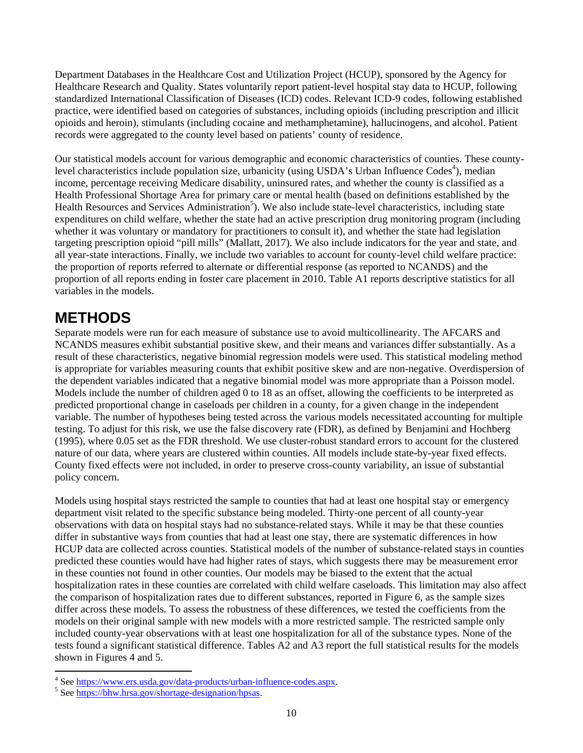Department Databases in the Healthcare Cost and Utilization Project (HCUP), sponsored by the Agency for Healthcare Research and Quality. States voluntarily report patient-level hospital stay data to HCUP, following standardized International Classification of Diseases (ICD) codes. Relevant ICD-9 codes, following established practice, were identified based on categories of substances, including opioids (including prescription and illicit opioids and heroin), stimulants (including cocaine and methamphetamine), hallucinogens, and alcohol. Patient records were aggregated to the county level based on patients' county of residence.

Our statistical models account for various demographic and economic characteristics of counties. These countylevel characteristics include population size, urbanicity (using USDA's Urban Influence Codes<sup>4</sup>), median income, percentage receiving Medicare disability, uninsured rates, and whether the county is classified as a Health Professional Shortage Area for primary care or mental health (based on definitions established by the Health Resources and Services Administration<sup>5</sup>). We also include state-level characteristics, including state expenditures on child welfare, whether the state had an active prescription drug monitoring program (including whether it was voluntary or mandatory for practitioners to consult it), and whether the state had legislation targeting prescription opioid "pill mills" (Mallatt, 2017). We also include indicators for the year and state, and all year-state interactions. Finally, we include two variables to account for county-level child welfare practice: the proportion of reports referred to alternate or differential response (as reported to NCANDS) and the proportion of all reports ending in foster care placement in 2010. Table A1 reports descriptive statistics for all variables in the models.

## **METHODS**

Separate models were run for each measure of substance use to avoid multicollinearity. The AFCARS and NCANDS measures exhibit substantial positive skew, and their means and variances differ substantially. As a result of these characteristics, negative binomial regression models were used. This statistical modeling method is appropriate for variables measuring counts that exhibit positive skew and are non-negative. Overdispersion of the dependent variables indicated that a negative binomial model was more appropriate than a Poisson model. Models include the number of children aged 0 to 18 as an offset, allowing the coefficients to be interpreted as predicted proportional change in caseloads per children in a county, for a given change in the independent variable. The number of hypotheses being tested across the various models necessitated accounting for multiple testing. To adjust for this risk, we use the false discovery rate (FDR), as defined by Benjamini and Hochberg (1995), where 0.05 set as the FDR threshold. We use cluster-robust standard errors to account for the clustered nature of our data, where years are clustered within counties. All models include state-by-year fixed effects. County fixed effects were not included, in order to preserve cross-county variability, an issue of substantial policy concern.

Models using hospital stays restricted the sample to counties that had at least one hospital stay or emergency department visit related to the specific substance being modeled. Thirty-one percent of all county-year observations with data on hospital stays had no substance-related stays. While it may be that these counties differ in substantive ways from counties that had at least one stay, there are systematic differences in how HCUP data are collected across counties. Statistical models of the number of substance-related stays in counties predicted these counties would have had higher rates of stays, which suggests there may be measurement error in these counties not found in other counties. Our models may be biased to the extent that the actual hospitalization rates in these counties are correlated with child welfare caseloads. This limitation may also affect the comparison of hospitalization rates due to different substances, reported in Figure 6, as the sample sizes differ across these models. To assess the robustness of these differences, we tested the coefficients from the models on their original sample with new models with a more restricted sample. The restricted sample only included county-year observations with at least one hospitalization for all of the substance types. None of the tests found a significant statistical difference. Tables A2 and A3 report the full statistical results for the models shown in Figures 4 and 5.

<sup>&</sup>lt;sup>4</sup> See https://www.ers.usda.gov/data-products/urban-influence-codes.aspx.<br><sup>5</sup> See https://bby.hrsp.gov/chertage\_designation/bpeas

<sup>&</sup>lt;sup>5</sup> See https://bhw.hrsa.gov/shortage-designation/hpsas.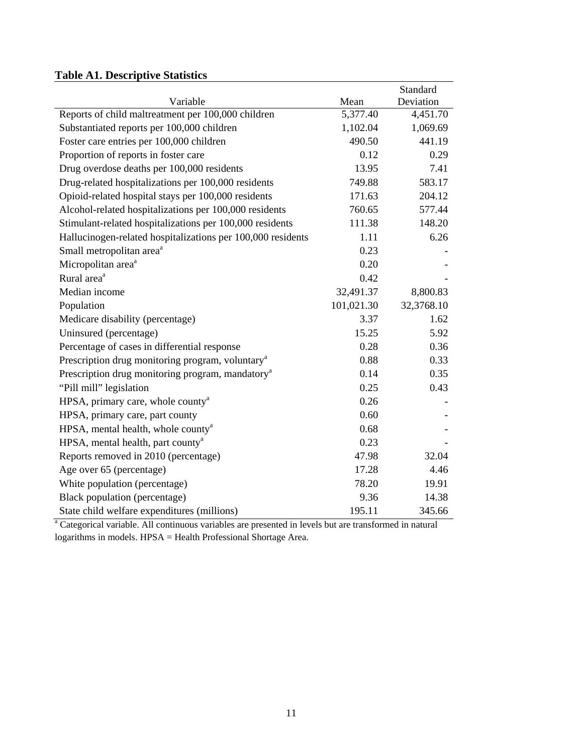#### **Table A1. Descriptive Statistics**

|                                                              |            | Standard   |
|--------------------------------------------------------------|------------|------------|
| Variable                                                     | Mean       | Deviation  |
| Reports of child maltreatment per 100,000 children           | 5,377.40   | 4,451.70   |
| Substantiated reports per 100,000 children                   | 1,102.04   | 1,069.69   |
| Foster care entries per 100,000 children                     | 490.50     | 441.19     |
| Proportion of reports in foster care                         | 0.12       | 0.29       |
| Drug overdose deaths per 100,000 residents                   | 13.95      | 7.41       |
| Drug-related hospitalizations per 100,000 residents          | 749.88     | 583.17     |
| Opioid-related hospital stays per 100,000 residents          | 171.63     | 204.12     |
| Alcohol-related hospitalizations per 100,000 residents       | 760.65     | 577.44     |
| Stimulant-related hospitalizations per 100,000 residents     | 111.38     | 148.20     |
| Hallucinogen-related hospitalizations per 100,000 residents  | 1.11       | 6.26       |
| Small metropolitan area <sup>a</sup>                         | 0.23       |            |
| Micropolitan area <sup>a</sup>                               | 0.20       |            |
| Rural area <sup>a</sup>                                      | 0.42       |            |
| Median income                                                | 32,491.37  | 8,800.83   |
| Population                                                   | 101,021.30 | 32,3768.10 |
| Medicare disability (percentage)                             | 3.37       | 1.62       |
| Uninsured (percentage)                                       | 15.25      | 5.92       |
| Percentage of cases in differential response                 | 0.28       | 0.36       |
| Prescription drug monitoring program, voluntary <sup>a</sup> | 0.88       | 0.33       |
| Prescription drug monitoring program, mandatory <sup>a</sup> | 0.14       | 0.35       |
| "Pill mill" legislation                                      | 0.25       | 0.43       |
| HPSA, primary care, whole county <sup>a</sup>                | 0.26       |            |
| HPSA, primary care, part county                              | 0.60       |            |
| HPSA, mental health, whole county <sup>a</sup>               | 0.68       |            |
| HPSA, mental health, part county <sup>a</sup>                | 0.23       |            |
| Reports removed in 2010 (percentage)                         | 47.98      | 32.04      |
| Age over 65 (percentage)                                     | 17.28      | 4.46       |
| White population (percentage)                                | 78.20      | 19.91      |
| Black population (percentage)                                | 9.36       | 14.38      |
| State child welfare expenditures (millions)                  | 195.11     | 345.66     |

<sup>a</sup> Categorical variable. All continuous variables are presented in levels but are transformed in natural logarithms in models. HPSA = Health Professional Shortage Area.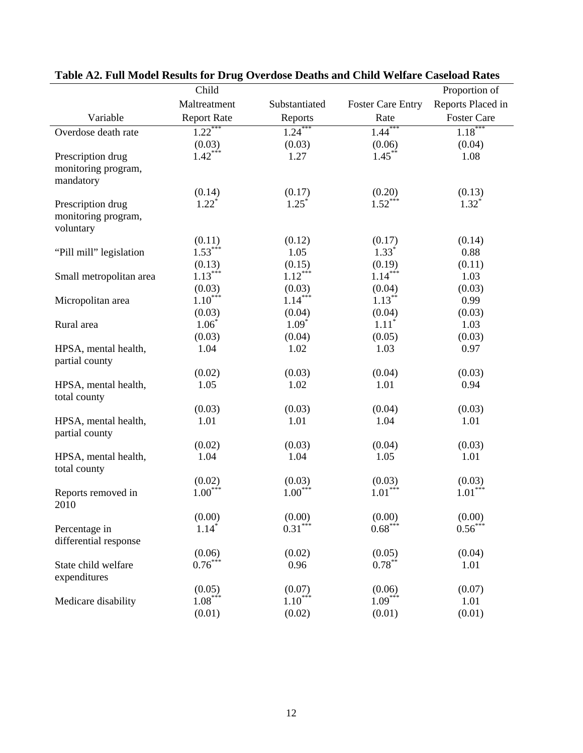|                                        | Child                           |               |                          | Proportion of      |
|----------------------------------------|---------------------------------|---------------|--------------------------|--------------------|
|                                        | Maltreatment                    | Substantiated | <b>Foster Care Entry</b> | Reports Placed in  |
| Variable                               | <b>Report Rate</b>              | Reports       | Rate                     | <b>Foster Care</b> |
| Overdose death rate                    | $1.22***$                       | $1.24***$     | $1.44***$                | $1.18***$          |
|                                        | (0.03)                          | (0.03)        | (0.06)                   | (0.04)             |
| Prescription drug                      | $1.42***$                       | 1.27          | $1.45***$                | 1.08               |
| monitoring program,<br>mandatory       |                                 |               |                          |                    |
|                                        | (0.14)                          | (0.17)        | (0.20)                   | (0.13)             |
| Prescription drug                      | $1.22^*$                        | $1.25^*$      | $1.52***$                | $1.32^*$           |
| monitoring program,<br>voluntary       |                                 |               |                          |                    |
|                                        | (0.11)                          | (0.12)        | (0.17)                   | (0.14)             |
| "Pill mill" legislation                | $1.53***$                       | 1.05          | $1.33^*$                 | 0.88               |
|                                        | (0.13)                          | (0.15)        | (0.19)                   | (0.11)             |
| Small metropolitan area                | $1.13***$                       | $1.12***$     | $1.14***$                | 1.03               |
|                                        | $(0.03)$<br>1.10 <sup>***</sup> | (0.03)        | (0.04)                   | (0.03)             |
| Micropolitan area                      |                                 | $1.14***$     | $1.13***$                | 0.99               |
|                                        | (0.03)                          | (0.04)        | (0.04)                   | (0.03)             |
| Rural area                             | $1.06*$                         | $1.09*$       | $1.11*$                  | 1.03               |
|                                        | (0.03)                          | (0.04)        | (0.05)                   | (0.03)             |
| HPSA, mental health,<br>partial county | 1.04                            | 1.02          | 1.03                     | 0.97               |
|                                        | (0.02)                          | (0.03)        | (0.04)                   | (0.03)             |
| HPSA, mental health,<br>total county   | 1.05                            | 1.02          | 1.01                     | 0.94               |
|                                        | (0.03)                          | (0.03)        | (0.04)                   | (0.03)             |
| HPSA, mental health,<br>partial county | 1.01                            | 1.01          | 1.04                     | 1.01               |
|                                        | (0.02)                          | (0.03)        | (0.04)                   | (0.03)             |
| HPSA, mental health,<br>total county   | 1.04                            | 1.04          | 1.05                     | 1.01               |
|                                        | (0.02)                          | (0.03)        | (0.03)                   | (0.03)             |
| Reports removed in<br>2010             | $1.00***$                       | $1.00***$     | $1.01***$                | $1.01***$          |
|                                        | (0.00)                          | (0.00)        | (0.00)                   | (0.00)             |
| Percentage in                          | $1.14*$                         | $0.31***$     | $0.68***$                | $0.56***$          |
| differential response                  |                                 |               |                          |                    |
|                                        | (0.06)                          | (0.02)        | (0.05)                   | (0.04)             |
| State child welfare<br>expenditures    | $0.76***$                       | 0.96          | $0.78***$                | 1.01               |
|                                        | (0.05)                          | (0.07)        | (0.06)                   | (0.07)             |
| Medicare disability                    | $1.08***$                       | $1.10***$     | $1.09***$                | 1.01               |
|                                        | (0.01)                          | (0.02)        | (0.01)                   | (0.01)             |

# **Table A2. Full Model Results for Drug Overdose Deaths and Child Welfare Caseload Rates**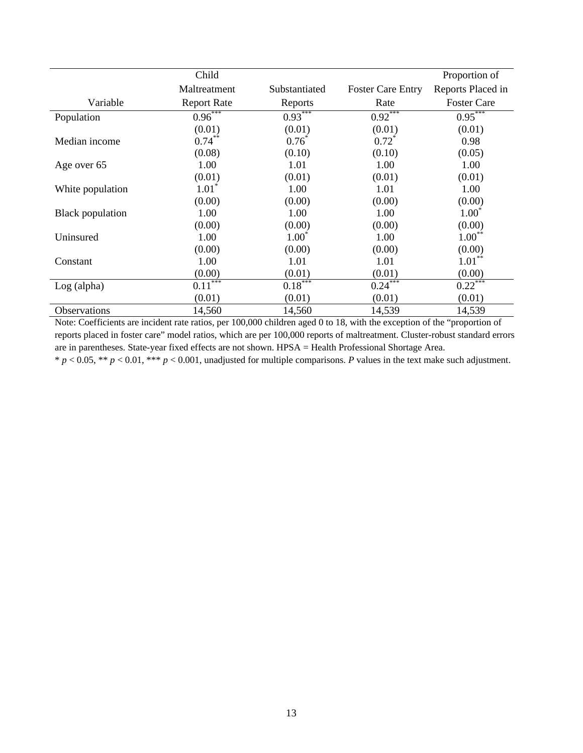|                         | Child              |               |                          | Proportion of      |
|-------------------------|--------------------|---------------|--------------------------|--------------------|
|                         | Maltreatment       | Substantiated | <b>Foster Care Entry</b> | Reports Placed in  |
| Variable                | <b>Report Rate</b> | Reports       | Rate                     | <b>Foster Care</b> |
| Population              | $0.96***$          | $0.93***$     | $0.92***$                | $0.95***$          |
|                         | (0.01)             | (0.01)        | (0.01)                   | (0.01)             |
| Median income           | $0.74***$          | $0.76^*$      | $0.72^*$                 | 0.98               |
|                         | (0.08)             | (0.10)        | (0.10)                   | (0.05)             |
| Age over 65             | 1.00               | 1.01          | 1.00                     | 1.00               |
|                         | (0.01)             | (0.01)        | (0.01)                   | (0.01)             |
| White population        | $1.01^*$           | 1.00          | 1.01                     | 1.00               |
|                         | (0.00)             | (0.00)        | (0.00)                   | (0.00)             |
| <b>Black population</b> | 1.00               | 1.00          | 1.00                     | $1.00*$            |
|                         | (0.00)             | (0.00)        | (0.00)                   | (0.00)             |
| Uninsured               | 1.00               | $1.00*$       | 1.00                     | $1.00**$           |
|                         | (0.00)             | (0.00)        | (0.00)                   | (0.00)             |
| Constant                | 1.00               | 1.01          | 1.01                     | $1.01***$          |
|                         | (0.00)             | (0.01)        | (0.01)                   | (0.00)             |
| $Log$ (alpha)           | $0.11***$          | $0.18***$     | $0.24***$                | $0.22***$          |
|                         | (0.01)             | (0.01)        | (0.01)                   | (0.01)             |
| Observations            | 14,560             | 14,560        | 14,539                   | 14,539             |

Note: Coefficients are incident rate ratios, per 100,000 children aged 0 to 18, with the exception of the "proportion of reports placed in foster care" model ratios, which are per 100,000 reports of maltreatment. Cluster-robust standard errors are in parentheses. State-year fixed effects are not shown. HPSA = Health Professional Shortage Area.

 $* p < 0.05, ** p < 0.01, *** p < 0.001,$  unadjusted for multiple comparisons. *P* values in the text make such adjustment.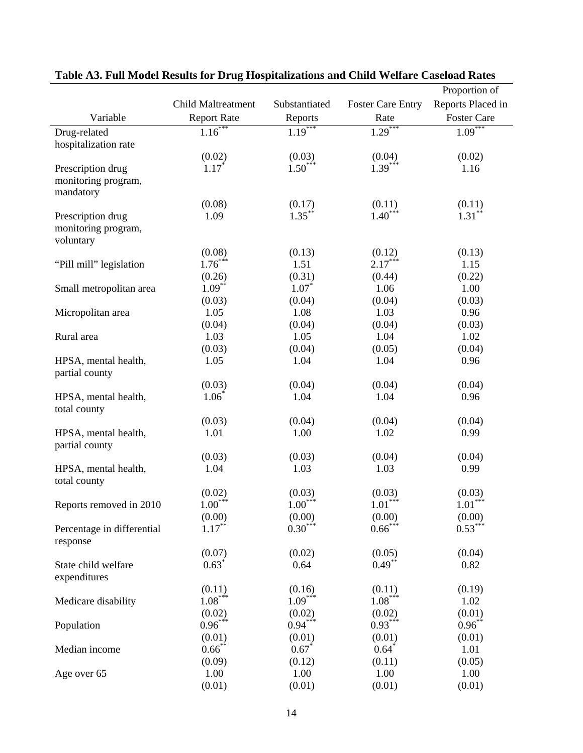|                                        |                           |               |                          | Proportion of      |
|----------------------------------------|---------------------------|---------------|--------------------------|--------------------|
|                                        | <b>Child Maltreatment</b> | Substantiated | <b>Foster Care Entry</b> | Reports Placed in  |
| Variable                               | <b>Report Rate</b>        | Reports       | Rate                     | <b>Foster Care</b> |
| Drug-related                           | $1.16***$                 | $1.19***$     | $1.29***$                | $1.09***$          |
| hospitalization rate                   |                           |               |                          |                    |
|                                        | (0.02)                    | (0.03)        | (0.04)                   | (0.02)             |
| Prescription drug                      | $1.17*$                   | $1.50***$     | $1.39***$                | 1.16               |
| monitoring program,<br>mandatory       |                           |               |                          |                    |
|                                        | (0.08)                    | (0.17)        | (0.11)                   | (0.11)             |
| Prescription drug                      | 1.09                      | $1.35***$     | $1.40***$                | $1.31***$          |
| monitoring program,<br>voluntary       |                           |               |                          |                    |
|                                        | (0.08)                    | (0.13)        | (0.12)                   | (0.13)             |
| "Pill mill" legislation                | $1.76***$                 | 1.51          | $2.17***$                | 1.15               |
|                                        | (0.26)                    | (0.31)        | (0.44)                   | (0.22)             |
| Small metropolitan area                | $1.09***$                 | $1.07*$       | 1.06                     | 1.00               |
|                                        | (0.03)                    | (0.04)        | (0.04)                   | (0.03)             |
| Micropolitan area                      | 1.05                      | 1.08          | 1.03                     | 0.96               |
|                                        | (0.04)                    | (0.04)        | (0.04)                   | (0.03)             |
| Rural area                             | 1.03                      | 1.05          | 1.04                     | 1.02               |
|                                        | (0.03)                    | (0.04)        | (0.05)                   | (0.04)             |
| HPSA, mental health,<br>partial county | 1.05                      | 1.04          | 1.04                     | 0.96               |
|                                        | (0.03)                    | (0.04)        | (0.04)                   | (0.04)             |
| HPSA, mental health,<br>total county   | $1.06*$                   | 1.04          | 1.04                     | 0.96               |
|                                        | (0.03)                    | (0.04)        | (0.04)                   | (0.04)             |
| HPSA, mental health,                   | 1.01                      | 1.00          | 1.02                     | 0.99               |
| partial county                         |                           |               |                          |                    |
|                                        | (0.03)                    | (0.03)        | (0.04)                   | (0.04)             |
| HPSA, mental health,<br>total county   | 1.04                      | 1.03          | 1.03                     | 0.99               |
|                                        | (0.02)                    | (0.03)        | (0.03)                   | (0.03)             |
| Reports removed in 2010                | $1.00***$                 | $1.00***$     | $1.01***$                | $1.01***$          |
|                                        | (0.00)                    | (0.00)        | (0.00)                   | (0.00)             |
| Percentage in differential<br>response | $1.17***$                 | $0.30***$     | $0.66***$                | $0.53***$          |
|                                        | (0.07)                    | (0.02)        | (0.05)                   | (0.04)             |
| State child welfare<br>expenditures    | $0.63*$                   | 0.64          | $0.49***$                | 0.82               |
|                                        | (0.11)                    | (0.16)        | (0.11)                   | (0.19)             |
| Medicare disability                    | $1.08***$                 | $1.09***$     | $1.08***$                | 1.02               |
|                                        | (0.02)                    | (0.02)        | (0.02)                   | (0.01)             |
| Population                             | $0.96***$                 | $0.94***$     | $0.93***$                | $0.96***$          |
|                                        | (0.01)                    | (0.01)        | (0.01)                   | (0.01)             |
| Median income                          | $0.66$ **                 | $0.67*$       | $0.64*$                  | 1.01               |
|                                        | (0.09)                    | (0.12)        | (0.11)                   | (0.05)             |
| Age over 65                            | 1.00                      | 1.00          | 1.00                     | 1.00               |
|                                        | (0.01)                    | (0.01)        | (0.01)                   | (0.01)             |

#### **Table A3. Full Model Results for Drug Hospitalizations and Child Welfare Caseload Rates**